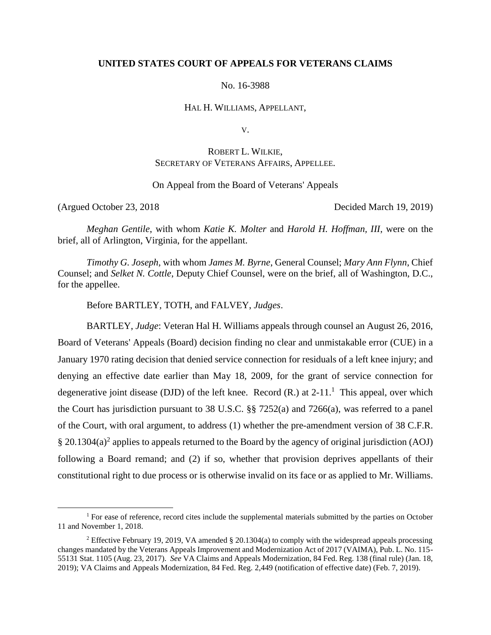## **UNITED STATES COURT OF APPEALS FOR VETERANS CLAIMS**

No. 16-3988

HAL H. WILLIAMS, APPELLANT,

V.

# ROBERT L. WILKIE, SECRETARY OF VETERANS AFFAIRS, APPELLEE.

On Appeal from the Board of Veterans' Appeals

 $\overline{a}$ 

(Argued October 23, 2018 Decided March 19, 2019)

*Meghan Gentile*, with whom *Katie K. Molter* and *Harold H. Hoffman, III*, were on the brief, all of Arlington, Virginia, for the appellant.

*Timothy G. Joseph*, with whom *James M. Byrne*, General Counsel; *Mary Ann Flynn*, Chief Counsel; and *Selket N. Cottle*, Deputy Chief Counsel, were on the brief, all of Washington, D.C., for the appellee.

Before BARTLEY, TOTH, and FALVEY, *Judges*.

BARTLEY, *Judge*: Veteran Hal H. Williams appeals through counsel an August 26, 2016, Board of Veterans' Appeals (Board) decision finding no clear and unmistakable error (CUE) in a January 1970 rating decision that denied service connection for residuals of a left knee injury; and denying an effective date earlier than May 18, 2009, for the grant of service connection for degenerative joint disease (DJD) of the left knee. Record  $(R)$  at  $2-11$ .<sup>1</sup> This appeal, over which the Court has jurisdiction pursuant to 38 U.S.C. §§ 7252(a) and 7266(a), was referred to a panel of the Court, with oral argument, to address (1) whether the pre-amendment version of 38 C.F.R. § 20.1304(a)<sup>2</sup> applies to appeals returned to the Board by the agency of original jurisdiction (AOJ) following a Board remand; and (2) if so, whether that provision deprives appellants of their constitutional right to due process or is otherwise invalid on its face or as applied to Mr. Williams.

<sup>&</sup>lt;sup>1</sup> For ease of reference, record cites include the supplemental materials submitted by the parties on October 11 and November 1, 2018.

<sup>&</sup>lt;sup>2</sup> Effective February 19, 2019, VA amended § 20.1304(a) to comply with the widespread appeals processing changes mandated by the Veterans Appeals Improvement and Modernization Act of 2017 (VAIMA), Pub. L. No. 115- 55131 Stat. 1105 (Aug. 23, 2017). *See* VA Claims and Appeals Modernization, 84 Fed. Reg. 138 (final rule) (Jan. 18, 2019); VA Claims and Appeals Modernization, 84 Fed. Reg. 2,449 (notification of effective date) (Feb. 7, 2019).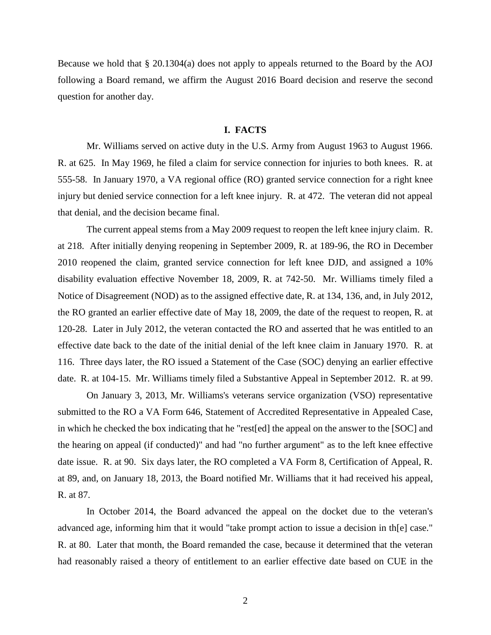Because we hold that  $\S 20.1304(a)$  does not apply to appeals returned to the Board by the AOJ following a Board remand, we affirm the August 2016 Board decision and reserve the second question for another day.

### **I. FACTS**

Mr. Williams served on active duty in the U.S. Army from August 1963 to August 1966. R. at 625. In May 1969, he filed a claim for service connection for injuries to both knees. R. at 555-58. In January 1970, a VA regional office (RO) granted service connection for a right knee injury but denied service connection for a left knee injury. R. at 472. The veteran did not appeal that denial, and the decision became final.

The current appeal stems from a May 2009 request to reopen the left knee injury claim. R. at 218. After initially denying reopening in September 2009, R. at 189-96, the RO in December 2010 reopened the claim, granted service connection for left knee DJD, and assigned a 10% disability evaluation effective November 18, 2009, R. at 742-50. Mr. Williams timely filed a Notice of Disagreement (NOD) as to the assigned effective date, R. at 134, 136, and, in July 2012, the RO granted an earlier effective date of May 18, 2009, the date of the request to reopen, R. at 120-28. Later in July 2012, the veteran contacted the RO and asserted that he was entitled to an effective date back to the date of the initial denial of the left knee claim in January 1970. R. at 116. Three days later, the RO issued a Statement of the Case (SOC) denying an earlier effective date. R. at 104-15. Mr. Williams timely filed a Substantive Appeal in September 2012. R. at 99.

On January 3, 2013, Mr. Williams's veterans service organization (VSO) representative submitted to the RO a VA Form 646, Statement of Accredited Representative in Appealed Case, in which he checked the box indicating that he "rest[ed] the appeal on the answer to the [SOC] and the hearing on appeal (if conducted)" and had "no further argument" as to the left knee effective date issue. R. at 90. Six days later, the RO completed a VA Form 8, Certification of Appeal, R. at 89, and, on January 18, 2013, the Board notified Mr. Williams that it had received his appeal, R. at 87.

In October 2014, the Board advanced the appeal on the docket due to the veteran's advanced age, informing him that it would "take prompt action to issue a decision in th[e] case." R. at 80. Later that month, the Board remanded the case, because it determined that the veteran had reasonably raised a theory of entitlement to an earlier effective date based on CUE in the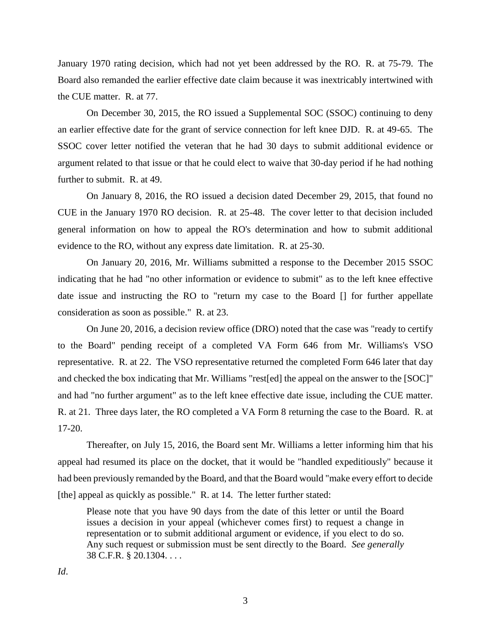January 1970 rating decision, which had not yet been addressed by the RO. R. at 75-79. The Board also remanded the earlier effective date claim because it was inextricably intertwined with the CUE matter. R. at 77.

On December 30, 2015, the RO issued a Supplemental SOC (SSOC) continuing to deny an earlier effective date for the grant of service connection for left knee DJD. R. at 49-65. The SSOC cover letter notified the veteran that he had 30 days to submit additional evidence or argument related to that issue or that he could elect to waive that 30-day period if he had nothing further to submit. R. at 49.

On January 8, 2016, the RO issued a decision dated December 29, 2015, that found no CUE in the January 1970 RO decision. R. at 25-48. The cover letter to that decision included general information on how to appeal the RO's determination and how to submit additional evidence to the RO, without any express date limitation. R. at 25-30.

On January 20, 2016, Mr. Williams submitted a response to the December 2015 SSOC indicating that he had "no other information or evidence to submit" as to the left knee effective date issue and instructing the RO to "return my case to the Board [] for further appellate consideration as soon as possible." R. at 23.

On June 20, 2016, a decision review office (DRO) noted that the case was "ready to certify to the Board" pending receipt of a completed VA Form 646 from Mr. Williams's VSO representative. R. at 22. The VSO representative returned the completed Form 646 later that day and checked the box indicating that Mr. Williams "rest[ed] the appeal on the answer to the [SOC]" and had "no further argument" as to the left knee effective date issue, including the CUE matter. R. at 21. Three days later, the RO completed a VA Form 8 returning the case to the Board. R. at 17-20.

Thereafter, on July 15, 2016, the Board sent Mr. Williams a letter informing him that his appeal had resumed its place on the docket, that it would be "handled expeditiously" because it had been previously remanded by the Board, and that the Board would "make every effort to decide [the] appeal as quickly as possible." R. at 14. The letter further stated:

Please note that you have 90 days from the date of this letter or until the Board issues a decision in your appeal (whichever comes first) to request a change in representation or to submit additional argument or evidence, if you elect to do so. Any such request or submission must be sent directly to the Board. *See generally* 38 C.F.R. § 20.1304. . . .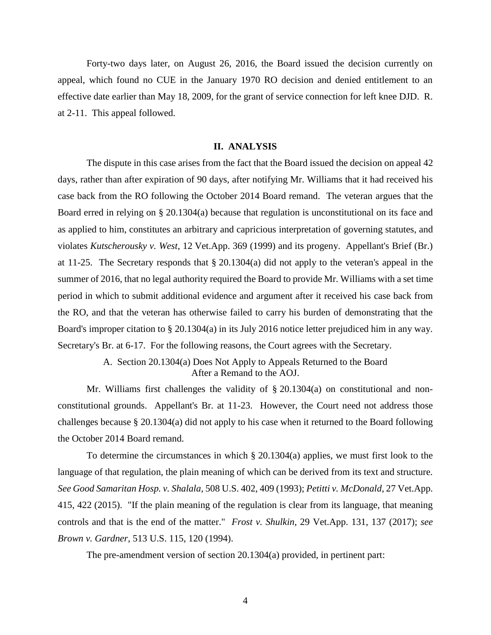Forty-two days later, on August 26, 2016, the Board issued the decision currently on appeal, which found no CUE in the January 1970 RO decision and denied entitlement to an effective date earlier than May 18, 2009, for the grant of service connection for left knee DJD. R. at 2-11. This appeal followed.

### **II. ANALYSIS**

The dispute in this case arises from the fact that the Board issued the decision on appeal 42 days, rather than after expiration of 90 days, after notifying Mr. Williams that it had received his case back from the RO following the October 2014 Board remand. The veteran argues that the Board erred in relying on § 20.1304(a) because that regulation is unconstitutional on its face and as applied to him, constitutes an arbitrary and capricious interpretation of governing statutes, and violates *Kutscherousky v. West*, 12 Vet.App. 369 (1999) and its progeny. Appellant's Brief (Br.) at 11-25. The Secretary responds that § 20.1304(a) did not apply to the veteran's appeal in the summer of 2016, that no legal authority required the Board to provide Mr. Williams with a set time period in which to submit additional evidence and argument after it received his case back from the RO, and that the veteran has otherwise failed to carry his burden of demonstrating that the Board's improper citation to § 20.1304(a) in its July 2016 notice letter prejudiced him in any way. Secretary's Br. at 6-17. For the following reasons, the Court agrees with the Secretary.

> A. Section 20.1304(a) Does Not Apply to Appeals Returned to the Board After a Remand to the AOJ.

Mr. Williams first challenges the validity of § 20.1304(a) on constitutional and nonconstitutional grounds. Appellant's Br. at 11-23. However, the Court need not address those challenges because § 20.1304(a) did not apply to his case when it returned to the Board following the October 2014 Board remand.

To determine the circumstances in which § 20.1304(a) applies, we must first look to the language of that regulation, the plain meaning of which can be derived from its text and structure. *See Good Samaritan Hosp. v. Shalala*, 508 U.S. 402, 409 (1993); *Petitti v. McDonald*, 27 Vet.App. 415, 422 (2015). "If the plain meaning of the regulation is clear from its language, that meaning controls and that is the end of the matter." *Frost v. Shulkin*, 29 Vet.App. 131, 137 (2017); *see Brown v. Gardner*, 513 U.S. 115, 120 (1994).

The pre-amendment version of section 20.1304(a) provided, in pertinent part: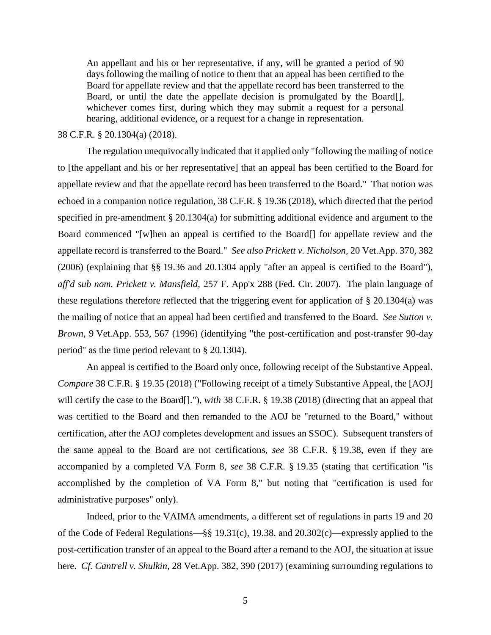An appellant and his or her representative, if any, will be granted a period of 90 days following the mailing of notice to them that an appeal has been certified to the Board for appellate review and that the appellate record has been transferred to the Board, or until the date the appellate decision is promulgated by the Board[], whichever comes first, during which they may submit a request for a personal hearing, additional evidence, or a request for a change in representation.

## 38 C.F.R. § 20.1304(a) (2018).

The regulation unequivocally indicated that it applied only "following the mailing of notice to [the appellant and his or her representative] that an appeal has been certified to the Board for appellate review and that the appellate record has been transferred to the Board." That notion was echoed in a companion notice regulation, 38 C.F.R. § 19.36 (2018), which directed that the period specified in pre-amendment § 20.1304(a) for submitting additional evidence and argument to the Board commenced "[w]hen an appeal is certified to the Board[] for appellate review and the appellate record is transferred to the Board." *See also Prickett v. Nicholson*, 20 Vet.App. 370, 382 (2006) (explaining that §§ 19.36 and 20.1304 apply "after an appeal is certified to the Board"), *aff'd sub nom. Prickett v. Mansfield,* 257 F. App'x 288 (Fed. Cir. 2007). The plain language of these regulations therefore reflected that the triggering event for application of § 20.1304(a) was the mailing of notice that an appeal had been certified and transferred to the Board. *See Sutton v. Brown*, 9 Vet.App. 553, 567 (1996) (identifying "the post-certification and post-transfer 90-day period" as the time period relevant to § 20.1304).

An appeal is certified to the Board only once, following receipt of the Substantive Appeal. *Compare* 38 C.F.R. § 19.35 (2018) ("Following receipt of a timely Substantive Appeal, the [AOJ] will certify the case to the Board[]."), *with* 38 C.F.R. § 19.38 (2018) (directing that an appeal that was certified to the Board and then remanded to the AOJ be "returned to the Board," without certification, after the AOJ completes development and issues an SSOC). Subsequent transfers of the same appeal to the Board are not certifications, *see* 38 C.F.R. § 19.38, even if they are accompanied by a completed VA Form 8, *see* 38 C.F.R. § 19.35 (stating that certification "is accomplished by the completion of VA Form 8," but noting that "certification is used for administrative purposes" only).

Indeed, prior to the VAIMA amendments, a different set of regulations in parts 19 and 20 of the Code of Federal Regulations—§§ 19.31(c), 19.38, and 20.302(c)—expressly applied to the post-certification transfer of an appeal to the Board after a remand to the AOJ, the situation at issue here. *Cf. Cantrell v. Shulkin*, 28 Vet.App. 382, 390 (2017) (examining surrounding regulations to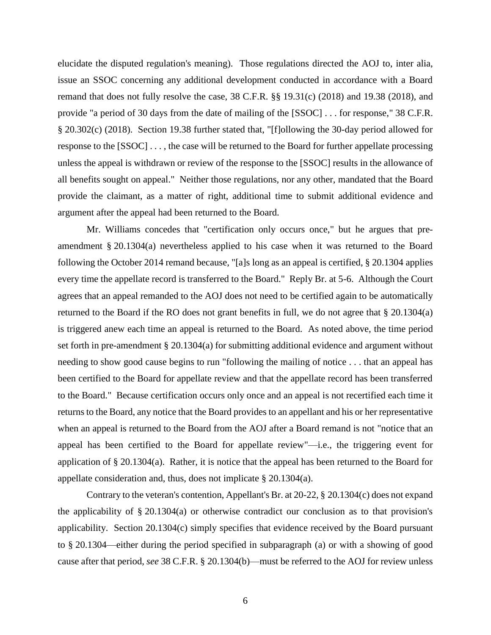elucidate the disputed regulation's meaning). Those regulations directed the AOJ to, inter alia, issue an SSOC concerning any additional development conducted in accordance with a Board remand that does not fully resolve the case, 38 C.F.R. §§ 19.31(c) (2018) and 19.38 (2018), and provide "a period of 30 days from the date of mailing of the [SSOC] . . . for response," 38 C.F.R. § 20.302(c) (2018). Section 19.38 further stated that, "[f]ollowing the 30-day period allowed for response to the [SSOC] . . . , the case will be returned to the Board for further appellate processing unless the appeal is withdrawn or review of the response to the [SSOC] results in the allowance of all benefits sought on appeal." Neither those regulations, nor any other, mandated that the Board provide the claimant, as a matter of right, additional time to submit additional evidence and argument after the appeal had been returned to the Board.

Mr. Williams concedes that "certification only occurs once," but he argues that preamendment § 20.1304(a) nevertheless applied to his case when it was returned to the Board following the October 2014 remand because, "[a]s long as an appeal is certified, § 20.1304 applies every time the appellate record is transferred to the Board." Reply Br. at 5-6. Although the Court agrees that an appeal remanded to the AOJ does not need to be certified again to be automatically returned to the Board if the RO does not grant benefits in full, we do not agree that § 20.1304(a) is triggered anew each time an appeal is returned to the Board. As noted above, the time period set forth in pre-amendment § 20.1304(a) for submitting additional evidence and argument without needing to show good cause begins to run "following the mailing of notice . . . that an appeal has been certified to the Board for appellate review and that the appellate record has been transferred to the Board." Because certification occurs only once and an appeal is not recertified each time it returns to the Board, any notice that the Board provides to an appellant and his or her representative when an appeal is returned to the Board from the AOJ after a Board remand is not "notice that an appeal has been certified to the Board for appellate review"—i.e., the triggering event for application of § 20.1304(a). Rather, it is notice that the appeal has been returned to the Board for appellate consideration and, thus, does not implicate § 20.1304(a).

Contrary to the veteran's contention, Appellant's Br. at 20-22, § 20.1304(c) does not expand the applicability of § 20.1304(a) or otherwise contradict our conclusion as to that provision's applicability. Section 20.1304(c) simply specifies that evidence received by the Board pursuant to § 20.1304—either during the period specified in subparagraph (a) or with a showing of good cause after that period, *see* 38 C.F.R. § 20.1304(b)—must be referred to the AOJ for review unless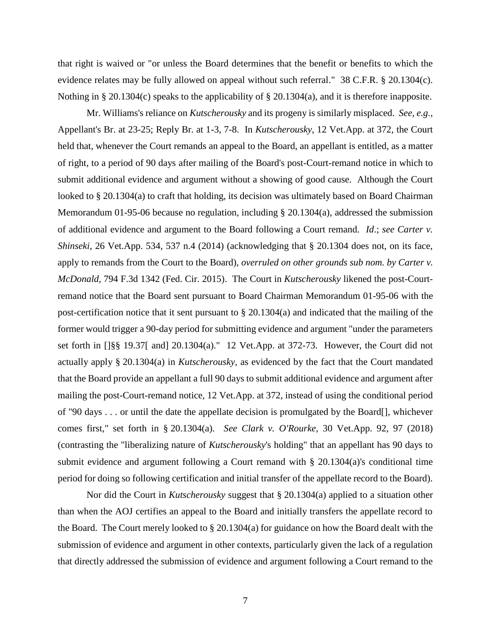that right is waived or "or unless the Board determines that the benefit or benefits to which the evidence relates may be fully allowed on appeal without such referral." 38 C.F.R. § 20.1304(c). Nothing in § 20.1304(c) speaks to the applicability of § 20.1304(a), and it is therefore inapposite.

Mr. Williams's reliance on *Kutscherousky* and its progeny is similarly misplaced. *See, e.g.*, Appellant's Br. at 23-25; Reply Br. at 1-3, 7-8. In *Kutscherousky*, 12 Vet.App. at 372, the Court held that, whenever the Court remands an appeal to the Board, an appellant is entitled, as a matter of right, to a period of 90 days after mailing of the Board's post-Court-remand notice in which to submit additional evidence and argument without a showing of good cause. Although the Court looked to § 20.1304(a) to craft that holding, its decision was ultimately based on Board Chairman Memorandum 01-95-06 because no regulation, including § 20.1304(a), addressed the submission of additional evidence and argument to the Board following a Court remand. *Id*.; *see Carter v. Shinseki*, 26 Vet.App. 534, 537 n.4 (2014) (acknowledging that § 20.1304 does not, on its face, apply to remands from the Court to the Board), *overruled on other grounds sub nom. by Carter v. McDonald*, 794 F.3d 1342 (Fed. Cir. 2015). The Court in *Kutscherousky* likened the post-Courtremand notice that the Board sent pursuant to Board Chairman Memorandum 01-95-06 with the post-certification notice that it sent pursuant to § 20.1304(a) and indicated that the mailing of the former would trigger a 90-day period for submitting evidence and argument "under the parameters set forth in []§§ 19.37[ and] 20.1304(a)." 12 Vet.App. at 372-73. However, the Court did not actually apply § 20.1304(a) in *Kutscherousky*, as evidenced by the fact that the Court mandated that the Board provide an appellant a full 90 days to submit additional evidence and argument after mailing the post-Court-remand notice, 12 Vet.App. at 372, instead of using the conditional period of "90 days . . . or until the date the appellate decision is promulgated by the Board[], whichever comes first," set forth in § 20.1304(a). *See Clark v. O'Rourke*, 30 Vet.App. 92, 97 (2018) (contrasting the "liberalizing nature of *Kutscherousky*'s holding" that an appellant has 90 days to submit evidence and argument following a Court remand with § 20.1304(a)'s conditional time period for doing so following certification and initial transfer of the appellate record to the Board).

Nor did the Court in *Kutscherousky* suggest that § 20.1304(a) applied to a situation other than when the AOJ certifies an appeal to the Board and initially transfers the appellate record to the Board. The Court merely looked to § 20.1304(a) for guidance on how the Board dealt with the submission of evidence and argument in other contexts, particularly given the lack of a regulation that directly addressed the submission of evidence and argument following a Court remand to the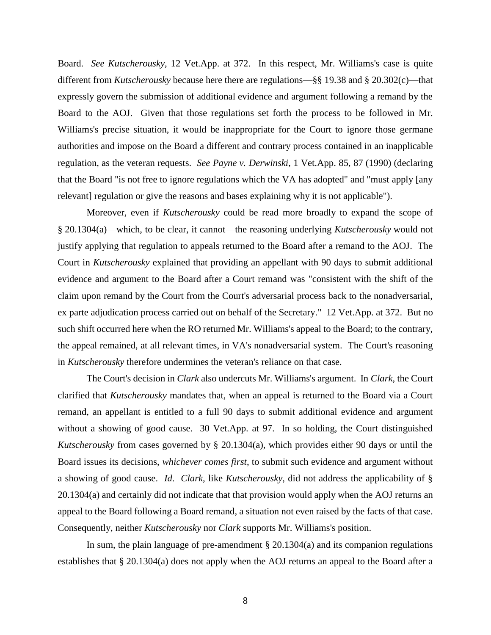Board. *See Kutscherousky*, 12 Vet.App. at 372. In this respect, Mr. Williams's case is quite different from *Kutscherousky* because here there are regulations—§§ 19.38 and § 20.302(c)—that expressly govern the submission of additional evidence and argument following a remand by the Board to the AOJ. Given that those regulations set forth the process to be followed in Mr. Williams's precise situation, it would be inappropriate for the Court to ignore those germane authorities and impose on the Board a different and contrary process contained in an inapplicable regulation, as the veteran requests. *See Payne v. Derwinski*, 1 Vet.App. 85, 87 (1990) (declaring that the Board "is not free to ignore regulations which the VA has adopted" and "must apply [any relevant] regulation or give the reasons and bases explaining why it is not applicable").

Moreover, even if *Kutscherousky* could be read more broadly to expand the scope of § 20.1304(a)—which, to be clear, it cannot—the reasoning underlying *Kutscherousky* would not justify applying that regulation to appeals returned to the Board after a remand to the AOJ. The Court in *Kutscherousky* explained that providing an appellant with 90 days to submit additional evidence and argument to the Board after a Court remand was "consistent with the shift of the claim upon remand by the Court from the Court's adversarial process back to the nonadversarial, ex parte adjudication process carried out on behalf of the Secretary." 12 Vet.App. at 372. But no such shift occurred here when the RO returned Mr. Williams's appeal to the Board; to the contrary, the appeal remained, at all relevant times, in VA's nonadversarial system. The Court's reasoning in *Kutscherousky* therefore undermines the veteran's reliance on that case.

The Court's decision in *Clark* also undercuts Mr. Williams's argument. In *Clark*, the Court clarified that *Kutscherousky* mandates that, when an appeal is returned to the Board via a Court remand, an appellant is entitled to a full 90 days to submit additional evidence and argument without a showing of good cause. 30 Vet.App. at 97. In so holding, the Court distinguished *Kutscherousky* from cases governed by § 20.1304(a), which provides either 90 days or until the Board issues its decisions, *whichever comes first*, to submit such evidence and argument without a showing of good cause. *Id*. *Clark*, like *Kutscherousky*, did not address the applicability of § 20.1304(a) and certainly did not indicate that that provision would apply when the AOJ returns an appeal to the Board following a Board remand, a situation not even raised by the facts of that case. Consequently, neither *Kutscherousky* nor *Clark* supports Mr. Williams's position.

In sum, the plain language of pre-amendment  $\S 20.1304(a)$  and its companion regulations establishes that § 20.1304(a) does not apply when the AOJ returns an appeal to the Board after a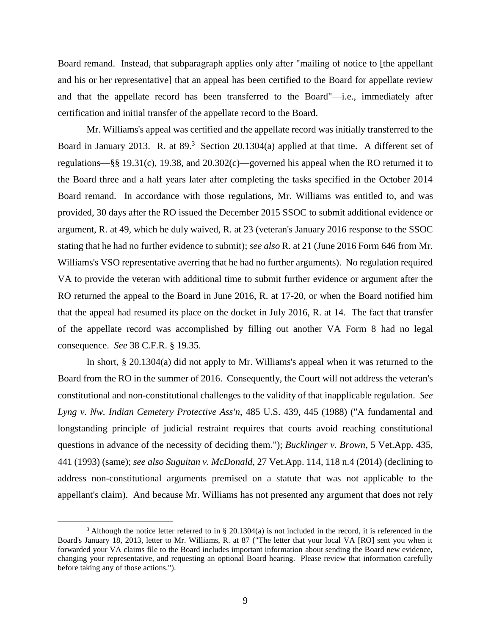Board remand. Instead, that subparagraph applies only after "mailing of notice to [the appellant and his or her representative] that an appeal has been certified to the Board for appellate review and that the appellate record has been transferred to the Board"—i.e., immediately after certification and initial transfer of the appellate record to the Board.

Mr. Williams's appeal was certified and the appellate record was initially transferred to the Board in January 2013. R. at  $89<sup>3</sup>$  Section 20.1304(a) applied at that time. A different set of regulations—§§ 19.31(c), 19.38, and 20.302(c)—governed his appeal when the RO returned it to the Board three and a half years later after completing the tasks specified in the October 2014 Board remand. In accordance with those regulations, Mr. Williams was entitled to, and was provided, 30 days after the RO issued the December 2015 SSOC to submit additional evidence or argument, R. at 49, which he duly waived, R. at 23 (veteran's January 2016 response to the SSOC stating that he had no further evidence to submit); *see also* R. at 21 (June 2016 Form 646 from Mr. Williams's VSO representative averring that he had no further arguments). No regulation required VA to provide the veteran with additional time to submit further evidence or argument after the RO returned the appeal to the Board in June 2016, R. at 17-20, or when the Board notified him that the appeal had resumed its place on the docket in July 2016, R. at 14. The fact that transfer of the appellate record was accomplished by filling out another VA Form 8 had no legal consequence. *See* 38 C.F.R. § 19.35.

In short, § 20.1304(a) did not apply to Mr. Williams's appeal when it was returned to the Board from the RO in the summer of 2016. Consequently, the Court will not address the veteran's constitutional and non-constitutional challenges to the validity of that inapplicable regulation. *See Lyng v. Nw. Indian Cemetery Protective Ass'n*, 485 U.S. 439, 445 (1988) ("A fundamental and longstanding principle of judicial restraint requires that courts avoid reaching constitutional questions in advance of the necessity of deciding them."); *Bucklinger v. Brown*, 5 Vet.App. 435, 441 (1993) (same); *see also Suguitan v. McDonald*, 27 Vet.App. 114, 118 n.4 (2014) (declining to address non-constitutional arguments premised on a statute that was not applicable to the appellant's claim). And because Mr. Williams has not presented any argument that does not rely

 $\overline{a}$ 

<sup>&</sup>lt;sup>3</sup> Although the notice letter referred to in § 20.1304(a) is not included in the record, it is referenced in the Board's January 18, 2013, letter to Mr. Williams, R. at 87 ("The letter that your local VA [RO] sent you when it forwarded your VA claims file to the Board includes important information about sending the Board new evidence, changing your representative, and requesting an optional Board hearing. Please review that information carefully before taking any of those actions.").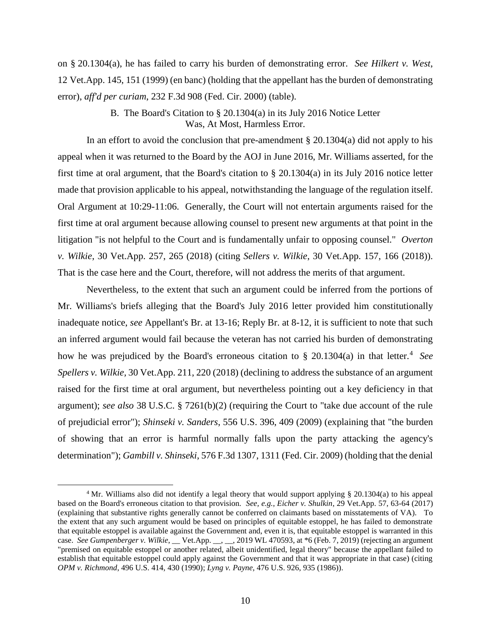on § 20.1304(a), he has failed to carry his burden of demonstrating error. *See Hilkert v. West*, 12 Vet.App. 145, 151 (1999) (en banc) (holding that the appellant has the burden of demonstrating error), *aff'd per curiam*, 232 F.3d 908 (Fed. Cir. 2000) (table).

# B. The Board's Citation to § 20.1304(a) in its July 2016 Notice Letter Was, At Most, Harmless Error.

In an effort to avoid the conclusion that pre-amendment  $\S 20.1304(a)$  did not apply to his appeal when it was returned to the Board by the AOJ in June 2016, Mr. Williams asserted, for the first time at oral argument, that the Board's citation to  $\S 20.1304(a)$  in its July 2016 notice letter made that provision applicable to his appeal, notwithstanding the language of the regulation itself. Oral Argument at 10:29-11:06. Generally, the Court will not entertain arguments raised for the first time at oral argument because allowing counsel to present new arguments at that point in the litigation "is not helpful to the Court and is fundamentally unfair to opposing counsel." *Overton v. Wilkie*, 30 Vet.App. 257, 265 (2018) (citing *Sellers v. Wilkie*, 30 Vet.App. 157, 166 (2018)). That is the case here and the Court, therefore, will not address the merits of that argument.

Nevertheless, to the extent that such an argument could be inferred from the portions of Mr. Williams's briefs alleging that the Board's July 2016 letter provided him constitutionally inadequate notice, *see* Appellant's Br. at 13-16; Reply Br. at 8-12, it is sufficient to note that such an inferred argument would fail because the veteran has not carried his burden of demonstrating how he was prejudiced by the Board's erroneous citation to § 20.1304(a) in that letter.<sup>4</sup> See *Spellers v. Wilkie,* 30 Vet.App. 211, 220 (2018) (declining to address the substance of an argument raised for the first time at oral argument, but nevertheless pointing out a key deficiency in that argument); *see also* 38 U.S.C. § 7261(b)(2) (requiring the Court to "take due account of the rule of prejudicial error"); *Shinseki v. Sanders*, 556 U.S. 396, 409 (2009) (explaining that "the burden of showing that an error is harmful normally falls upon the party attacking the agency's determination"); *Gambill v. Shinseki*, 576 F.3d 1307, 1311 (Fed. Cir. 2009) (holding that the denial

 $\overline{a}$ 

<sup>4</sup> Mr. Williams also did not identify a legal theory that would support applying § 20.1304(a) to his appeal based on the Board's erroneous citation to that provision. *See, e.g., Eicher v. Shulkin*, 29 Vet.App. 57, 63-64 (2017) (explaining that substantive rights generally cannot be conferred on claimants based on misstatements of VA). To the extent that any such argument would be based on principles of equitable estoppel, he has failed to demonstrate that equitable estoppel is available against the Government and, even it is, that equitable estoppel is warranted in this case. *See Gumpenberger v. Wilkie*, \_\_ Vet.App. \_\_, \_\_, 2019 WL 470593, at \*6 (Feb. 7, 2019) (rejecting an argument "premised on equitable estoppel or another related, albeit unidentified, legal theory" because the appellant failed to establish that equitable estoppel could apply against the Government and that it was appropriate in that case) (citing *OPM v. Richmond*, 496 U.S. 414, 430 (1990); *Lyng v. Payne*, 476 U.S. 926, 935 (1986)).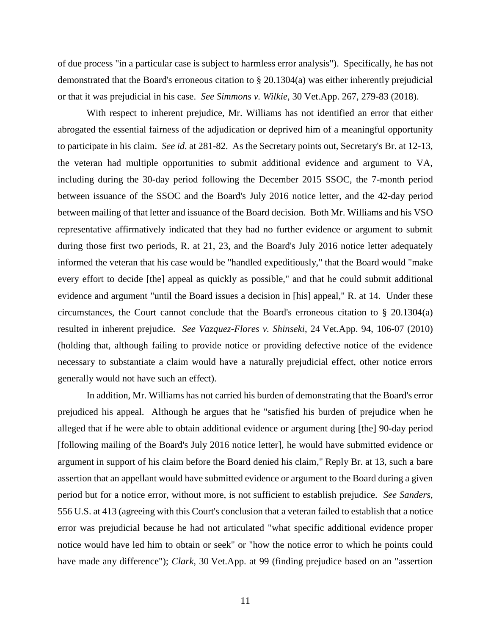of due process "in a particular case is subject to harmless error analysis"). Specifically, he has not demonstrated that the Board's erroneous citation to § 20.1304(a) was either inherently prejudicial or that it was prejudicial in his case. *See Simmons v. Wilkie*, 30 Vet.App. 267, 279-83 (2018).

With respect to inherent prejudice, Mr. Williams has not identified an error that either abrogated the essential fairness of the adjudication or deprived him of a meaningful opportunity to participate in his claim. *See id*. at 281-82. As the Secretary points out, Secretary's Br. at 12-13, the veteran had multiple opportunities to submit additional evidence and argument to VA, including during the 30-day period following the December 2015 SSOC, the 7-month period between issuance of the SSOC and the Board's July 2016 notice letter, and the 42-day period between mailing of that letter and issuance of the Board decision. Both Mr. Williams and his VSO representative affirmatively indicated that they had no further evidence or argument to submit during those first two periods, R. at 21, 23, and the Board's July 2016 notice letter adequately informed the veteran that his case would be "handled expeditiously," that the Board would "make every effort to decide [the] appeal as quickly as possible," and that he could submit additional evidence and argument "until the Board issues a decision in [his] appeal," R. at 14. Under these circumstances, the Court cannot conclude that the Board's erroneous citation to § 20.1304(a) resulted in inherent prejudice. *See Vazquez-Flores v. Shinseki*, 24 Vet.App. 94, 106-07 (2010) (holding that, although failing to provide notice or providing defective notice of the evidence necessary to substantiate a claim would have a naturally prejudicial effect, other notice errors generally would not have such an effect).

In addition, Mr. Williams has not carried his burden of demonstrating that the Board's error prejudiced his appeal. Although he argues that he "satisfied his burden of prejudice when he alleged that if he were able to obtain additional evidence or argument during [the] 90-day period [following mailing of the Board's July 2016 notice letter], he would have submitted evidence or argument in support of his claim before the Board denied his claim," Reply Br. at 13, such a bare assertion that an appellant would have submitted evidence or argument to the Board during a given period but for a notice error, without more, is not sufficient to establish prejudice. *See Sanders*, 556 U.S. at 413 (agreeing with this Court's conclusion that a veteran failed to establish that a notice error was prejudicial because he had not articulated "what specific additional evidence proper notice would have led him to obtain or seek" or "how the notice error to which he points could have made any difference"); *Clark*, 30 Vet.App. at 99 (finding prejudice based on an "assertion